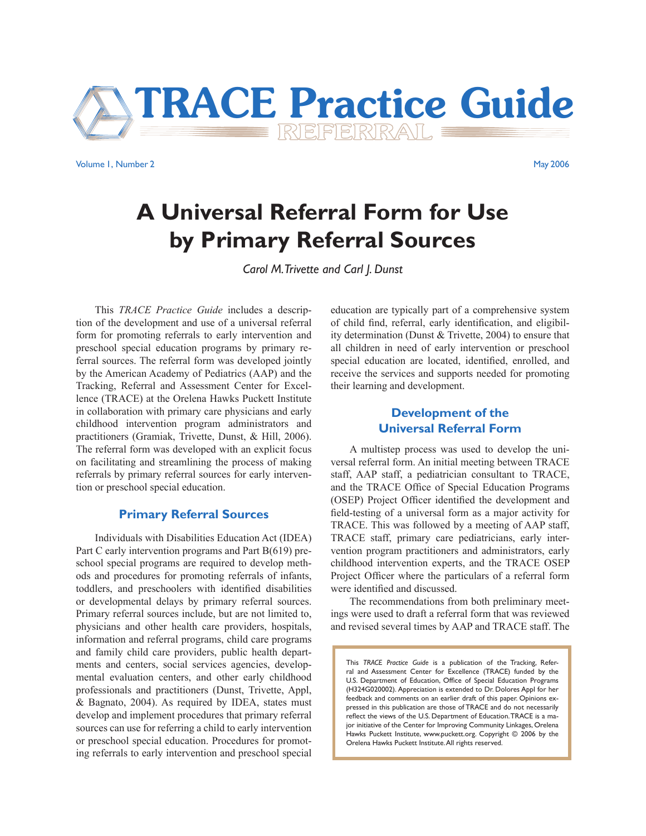

Volume 1, Number 2 May 2006

# **A Universal Referral Form for Use by Primary Referral Sources**

*Carol M. Trivette and Carl J. Dunst*

This *TRACE Practice Guide* includes a description of the development and use of a universal referral form for promoting referrals to early intervention and preschool special education programs by primary referral sources. The referral form was developed jointly by the American Academy of Pediatrics (AAP) and the Tracking, Referral and Assessment Center for Excellence (TRACE) at the Orelena Hawks Puckett Institute in collaboration with primary care physicians and early childhood intervention program administrators and practitioners (Gramiak, Trivette, Dunst, & Hill, 2006). The referral form was developed with an explicit focus on facilitating and streamlining the process of making referrals by primary referral sources for early intervention or preschool special education.

#### **Primary Referral Sources**

Individuals with Disabilities Education Act (IDEA) Part C early intervention programs and Part B(619) preschool special programs are required to develop methods and procedures for promoting referrals of infants, toddlers, and preschoolers with identified disabilities or developmental delays by primary referral sources. Primary referral sources include, but are not limited to, physicians and other health care providers, hospitals, information and referral programs, child care programs and family child care providers, public health departments and centers, social services agencies, developmental evaluation centers, and other early childhood professionals and practitioners (Dunst, Trivette, Appl, & Bagnato, 2004). As required by IDEA, states must develop and implement procedures that primary referral sources can use for referring a child to early intervention or preschool special education. Procedures for promoting referrals to early intervention and preschool special education are typically part of a comprehensive system of child find, referral, early identification, and eligibility determination (Dunst & Trivette, 2004) to ensure that all children in need of early intervention or preschool special education are located, identified, enrolled, and receive the services and supports needed for promoting their learning and development.

# **Development of the Universal Referral Form**

A multistep process was used to develop the universal referral form. An initial meeting between TRACE staff, AAP staff, a pediatrician consultant to TRACE, and the TRACE Office of Special Education Programs (OSEP) Project Officer identified the development and field-testing of a universal form as a major activity for TRACE. This was followed by a meeting of AAP staff, TRACE staff, primary care pediatricians, early intervention program practitioners and administrators, early childhood intervention experts, and the TRACE OSEP Project Officer where the particulars of a referral form were identified and discussed.

The recommendations from both preliminary meetings were used to draft a referral form that was reviewed and revised several times by AAP and TRACE staff. The

This *TRACE Practice Guide* is a publication of the Tracking, Referral and Assessment Center for Excellence (TRACE) funded by the U.S. Department of Education, Office of Special Education Programs (H324G020002). Appreciation is extended to Dr. Dolores Appl for her feedback and comments on an earlier draft of this paper. Opinions expressed in this publication are those of TRACE and do not necessarily reflect the views of the U.S. Department of Education. TRACE is a major initiative of the Center for Improving Community Linkages, Orelena Hawks Puckett Institute, www.puckett.org. Copyright © 2006 by the Orelena Hawks Puckett Institute. All rights reserved.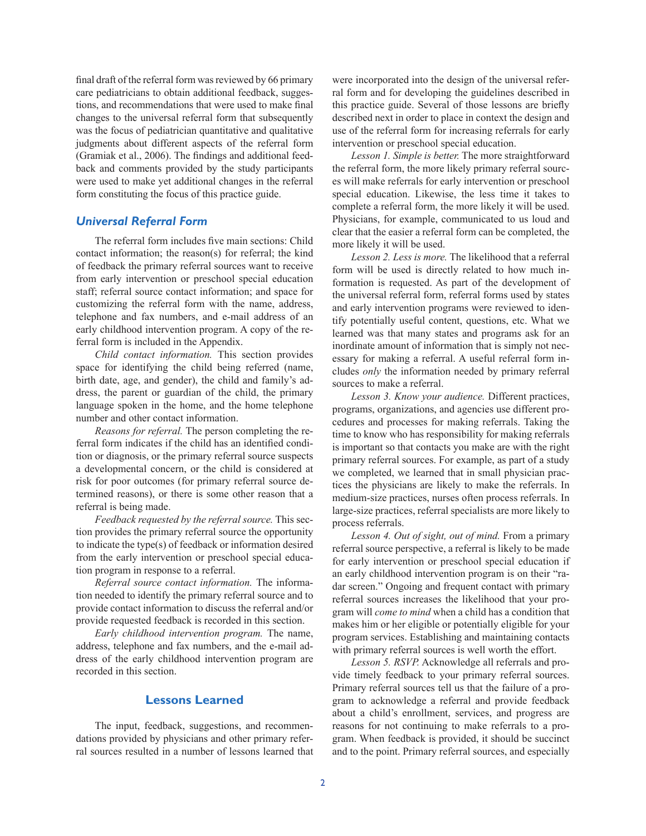final draft of the referral form was reviewed by 66 primary care pediatricians to obtain additional feedback, suggestions, and recommendations that were used to make final changes to the universal referral form that subsequently was the focus of pediatrician quantitative and qualitative judgments about different aspects of the referral form (Gramiak et al., 2006). The findings and additional feedback and comments provided by the study participants were used to make yet additional changes in the referral form constituting the focus of this practice guide.

#### *Universal Referral Form*

The referral form includes five main sections: Child contact information; the reason(s) for referral; the kind of feedback the primary referral sources want to receive from early intervention or preschool special education staff; referral source contact information; and space for customizing the referral form with the name, address, telephone and fax numbers, and e-mail address of an early childhood intervention program. A copy of the referral form is included in the Appendix.

*Child contact information.* This section provides space for identifying the child being referred (name, birth date, age, and gender), the child and family's address, the parent or guardian of the child, the primary language spoken in the home, and the home telephone number and other contact information.

*Reasons for referral.* The person completing the referral form indicates if the child has an identified condition or diagnosis, or the primary referral source suspects a developmental concern, or the child is considered at risk for poor outcomes (for primary referral source determined reasons), or there is some other reason that a referral is being made.

*Feedback requested by the referral source.* This section provides the primary referral source the opportunity to indicate the type(s) of feedback or information desired from the early intervention or preschool special education program in response to a referral.

*Referral source contact information.* The information needed to identify the primary referral source and to provide contact information to discuss the referral and/or provide requested feedback is recorded in this section.

*Early childhood intervention program.* The name, address, telephone and fax numbers, and the e-mail address of the early childhood intervention program are recorded in this section.

#### **Lessons Learned**

The input, feedback, suggestions, and recommendations provided by physicians and other primary referral sources resulted in a number of lessons learned that were incorporated into the design of the universal referral form and for developing the guidelines described in this practice guide. Several of those lessons are briefly described next in order to place in context the design and use of the referral form for increasing referrals for early intervention or preschool special education.

*Lesson 1. Simple is better.* The more straightforward the referral form, the more likely primary referral sources will make referrals for early intervention or preschool special education. Likewise, the less time it takes to complete a referral form, the more likely it will be used. Physicians, for example, communicated to us loud and clear that the easier a referral form can be completed, the more likely it will be used.

*Lesson 2. Less is more.* The likelihood that a referral form will be used is directly related to how much information is requested. As part of the development of the universal referral form, referral forms used by states and early intervention programs were reviewed to identify potentially useful content, questions, etc. What we learned was that many states and programs ask for an inordinate amount of information that is simply not necessary for making a referral. A useful referral form includes *only* the information needed by primary referral sources to make a referral.

*Lesson 3. Know your audience.* Different practices, programs, organizations, and agencies use different procedures and processes for making referrals. Taking the time to know who has responsibility for making referrals is important so that contacts you make are with the right primary referral sources. For example, as part of a study we completed, we learned that in small physician practices the physicians are likely to make the referrals. In medium-size practices, nurses often process referrals. In large-size practices, referral specialists are more likely to process referrals.

*Lesson 4. Out of sight, out of mind.* From a primary referral source perspective, a referral is likely to be made for early intervention or preschool special education if an early childhood intervention program is on their "radar screen." Ongoing and frequent contact with primary referral sources increases the likelihood that your program will *come to mind* when a child has a condition that makes him or her eligible or potentially eligible for your program services. Establishing and maintaining contacts with primary referral sources is well worth the effort.

*Lesson 5. RSVP.* Acknowledge all referrals and provide timely feedback to your primary referral sources. Primary referral sources tell us that the failure of a program to acknowledge a referral and provide feedback about a child's enrollment, services, and progress are reasons for not continuing to make referrals to a program. When feedback is provided, it should be succinct and to the point. Primary referral sources, and especially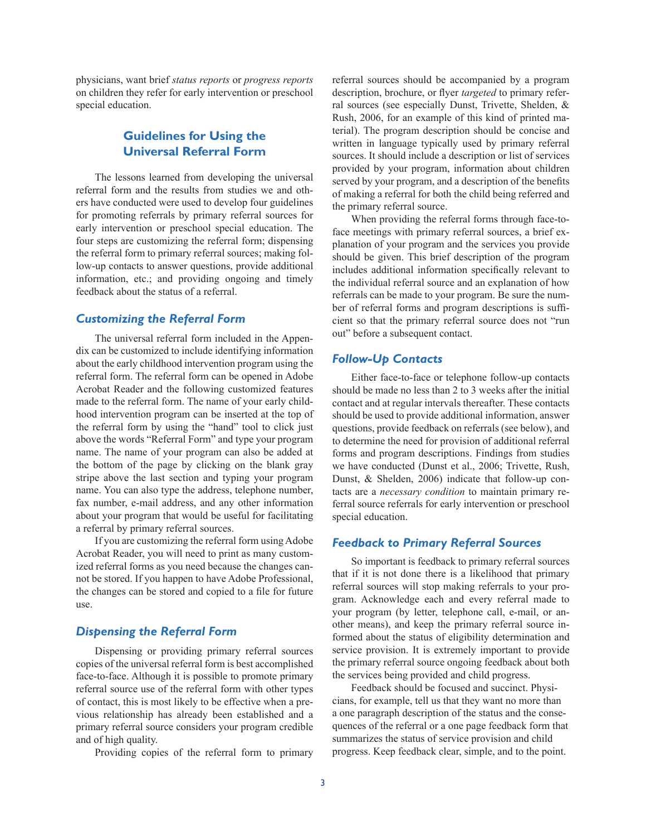physicians, want brief *status reports* or *progress reports* on children they refer for early intervention or preschool special education.

# **Guidelines for Using the Universal Referral Form**

The lessons learned from developing the universal referral form and the results from studies we and others have conducted were used to develop four guidelines for promoting referrals by primary referral sources for early intervention or preschool special education. The four steps are customizing the referral form; dispensing the referral form to primary referral sources; making follow-up contacts to answer questions, provide additional information, etc.; and providing ongoing and timely feedback about the status of a referral.

#### *Customizing the Referral Form*

The universal referral form included in the Appendix can be customized to include identifying information about the early childhood intervention program using the referral form. The referral form can be opened in Adobe Acrobat Reader and the following customized features made to the referral form. The name of your early childhood intervention program can be inserted at the top of the referral form by using the "hand" tool to click just above the words "Referral Form" and type your program name. The name of your program can also be added at the bottom of the page by clicking on the blank gray stripe above the last section and typing your program name. You can also type the address, telephone number, fax number, e-mail address, and any other information about your program that would be useful for facilitating a referral by primary referral sources.

If you are customizing the referral form using Adobe Acrobat Reader, you will need to print as many customized referral forms as you need because the changes cannot be stored. If you happen to have Adobe Professional, the changes can be stored and copied to a file for future use.

#### *Dispensing the Referral Form*

Dispensing or providing primary referral sources copies of the universal referral form is best accomplished face-to-face. Although it is possible to promote primary referral source use of the referral form with other types of contact, this is most likely to be effective when a previous relationship has already been established and a primary referral source considers your program credible and of high quality.

Providing copies of the referral form to primary

referral sources should be accompanied by a program description, brochure, or flyer *targeted* to primary referral sources (see especially Dunst, Trivette, Shelden, & Rush, 2006, for an example of this kind of printed material). The program description should be concise and written in language typically used by primary referral sources. It should include a description or list of services provided by your program, information about children served by your program, and a description of the benefits of making a referral for both the child being referred and the primary referral source.

When providing the referral forms through face-toface meetings with primary referral sources, a brief explanation of your program and the services you provide should be given. This brief description of the program includes additional information specifically relevant to the individual referral source and an explanation of how referrals can be made to your program. Be sure the number of referral forms and program descriptions is sufficient so that the primary referral source does not "run out" before a subsequent contact.

#### *Follow-Up Contacts*

Either face-to-face or telephone follow-up contacts should be made no less than 2 to 3 weeks after the initial contact and at regular intervals thereafter. These contacts should be used to provide additional information, answer questions, provide feedback on referrals (see below), and to determine the need for provision of additional referral forms and program descriptions. Findings from studies we have conducted (Dunst et al., 2006; Trivette, Rush, Dunst, & Shelden, 2006) indicate that follow-up contacts are a *necessary condition* to maintain primary referral source referrals for early intervention or preschool special education.

#### *Feedback to Primary Referral Sources*

So important is feedback to primary referral sources that if it is not done there is a likelihood that primary referral sources will stop making referrals to your program. Acknowledge each and every referral made to your program (by letter, telephone call, e-mail, or another means), and keep the primary referral source informed about the status of eligibility determination and service provision. It is extremely important to provide the primary referral source ongoing feedback about both the services being provided and child progress.

Feedback should be focused and succinct. Physicians, for example, tell us that they want no more than a one paragraph description of the status and the consequences of the referral or a one page feedback form that summarizes the status of service provision and child progress. Keep feedback clear, simple, and to the point.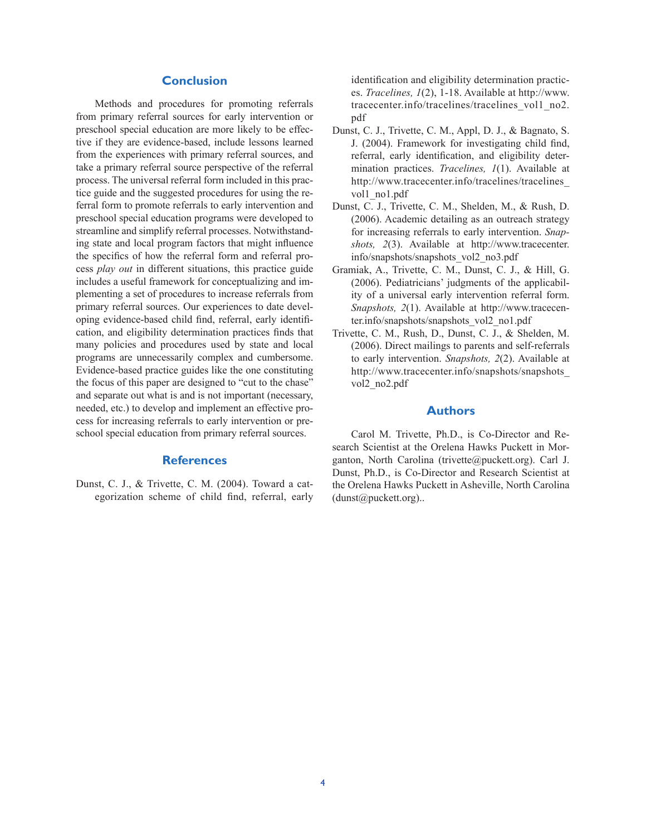### **Conclusion**

Methods and procedures for promoting referrals from primary referral sources for early intervention or preschool special education are more likely to be effective if they are evidence-based, include lessons learned from the experiences with primary referral sources, and take a primary referral source perspective of the referral process. The universal referral form included in this practice guide and the suggested procedures for using the referral form to promote referrals to early intervention and preschool special education programs were developed to streamline and simplify referral processes. Notwithstanding state and local program factors that might influence the specifics of how the referral form and referral process *play out* in different situations, this practice guide includes a useful framework for conceptualizing and implementing a set of procedures to increase referrals from primary referral sources. Our experiences to date developing evidence-based child find, referral, early identification, and eligibility determination practices finds that many policies and procedures used by state and local programs are unnecessarily complex and cumbersome. Evidence-based practice guides like the one constituting the focus of this paper are designed to "cut to the chase" and separate out what is and is not important (necessary, needed, etc.) to develop and implement an effective process for increasing referrals to early intervention or preschool special education from primary referral sources.

#### **References**

Dunst, C. J., & Trivette, C. M. (2004). Toward a categorization scheme of child find, referral, early identification and eligibility determination practices. *Tracelines, 1*(2), 1-18. Available at http://www. tracecenter.info/tracelines/tracelines\_vol1\_no2. pdf

- Dunst, C. J., Trivette, C. M., Appl, D. J., & Bagnato, S. J. (2004). Framework for investigating child find, referral, early identification, and eligibility determination practices. *Tracelines, 1*(1). Available at http://www.tracecenter.info/tracelines/tracelines\_ vol1\_no1.pdf
- Dunst, C. J., Trivette, C. M., Shelden, M., & Rush, D. (2006). Academic detailing as an outreach strategy for increasing referrals to early intervention. *Snapshots, 2*(3). Available at http://www.tracecenter. info/snapshots/snapshots\_vol2\_no3.pdf
- Gramiak, A., Trivette, C. M., Dunst, C. J., & Hill, G. (2006). Pediatricians' judgments of the applicability of a universal early intervention referral form. *Snapshots, 2*(1). Available at http://www.tracecenter.info/snapshots/snapshots\_vol2\_no1.pdf
- Trivette, C. M., Rush, D., Dunst, C. J., & Shelden, M. (2006). Direct mailings to parents and self-referrals to early intervention. *Snapshots, 2*(2). Available at http://www.tracecenter.info/snapshots/snapshots\_ vol2\_no2.pdf

#### **Authors**

Carol M. Trivette, Ph.D., is Co-Director and Research Scientist at the Orelena Hawks Puckett in Morganton, North Carolina (trivette@puckett.org). Carl J. Dunst, Ph.D., is Co-Director and Research Scientist at the Orelena Hawks Puckett in Asheville, North Carolina (dunst@puckett.org)..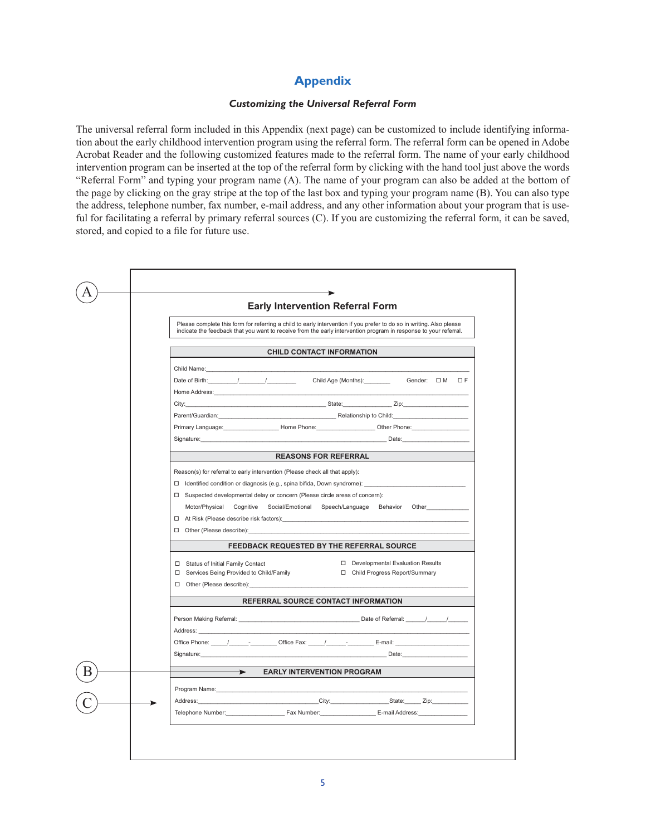# **Appendix**

#### *Customizing the Universal Referral Form*

The universal referral form included in this Appendix (next page) can be customized to include identifying information about the early childhood intervention program using the referral form. The referral form can be opened in Adobe Acrobat Reader and the following customized features made to the referral form. The name of your early childhood intervention program can be inserted at the top of the referral form by clicking with the hand tool just above the words "Referral Form" and typing your program name (A). The name of your program can also be added at the bottom of the page by clicking on the gray stripe at the top of the last box and typing your program name (B). You can also type the address, telephone number, fax number, e-mail address, and any other information about your program that is useful for facilitating a referral by primary referral sources (C). If you are customizing the referral form, it can be saved, stored, and copied to a file for future use.